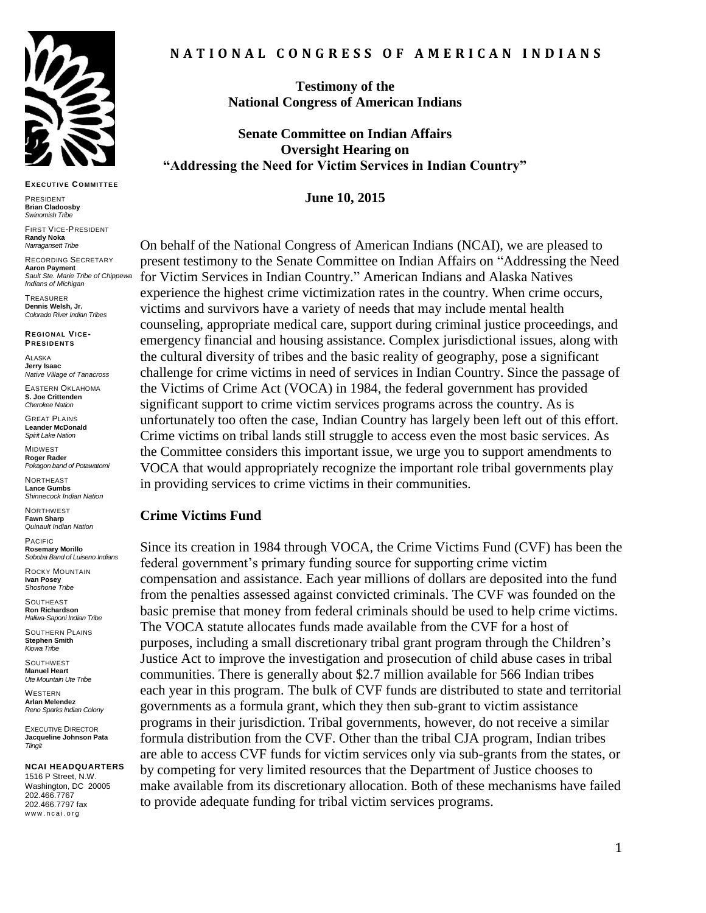

#### **EXECUT IVE COMMIT TEE**

PRESIDENT **Brian Cladoosby** *Swinomish Tribe*

FIRST VICE-PRESIDENT **Randy Noka** *Narragansett Tribe*

RECORDING SECRETARY **Aaron Payment** *Sault Ste. Marie Tribe of Chippewa Indians of Michigan*

TREASURER **Dennis Welsh, Jr.** *Colorado River Indian Tribes*

**REGIONAL VICE-PRESIDENT S**

**ALASKA Jerry Isaac** *Native Village of Tanacross*

EASTERN OKLAHOMA **S. Joe Crittenden** *Cherokee Nation*

GREAT PLAINS **Leander McDonald** *Spirit Lake Nation*

MIDWEST **Roger Rader** *Pokagon band of Potawatomi* 

**NORTHEAST Lance Gumbs** *Shinnecock Indian Nation*

NORTHWEST **Fawn Sharp** *Quinault Indian Nation*

PACIFIC **Rosemary Morillo** *Soboba Band of Luiseno Indians*

ROCKY MOUNTAIN **Ivan Posey** *Shoshone Tribe*

**SOUTHEAST Ron Richardson** *Haliwa-Saponi Indian Tribe*

SOUTHERN PLAINS **Stephen Smith** *Kiowa Tribe*

**SOUTHWEST Manuel Heart** *Ute Mountain Ute Tribe*

WESTERN **Arlan Melendez** *Reno Sparks Indian Colony*

EXECUTIVE DIRECTOR **Jacqueline Johnson Pata** *Tlingit*

#### **NCAI HEADQUARTERS**

1516 P Street, N.W. Washington, DC 20005 202.466.7767 202.466.7797 fax www.ncai.org

**Testimony of the National Congress of American Indians**

**Senate Committee on Indian Affairs Oversight Hearing on "Addressing the Need for Victim Services in Indian Country"**

**June 10, 2015**

On behalf of the National Congress of American Indians (NCAI), we are pleased to present testimony to the Senate Committee on Indian Affairs on "Addressing the Need for Victim Services in Indian Country." American Indians and Alaska Natives experience the highest crime victimization rates in the country. When crime occurs, victims and survivors have a variety of needs that may include mental health counseling, appropriate medical care, support during criminal justice proceedings, and emergency financial and housing assistance. Complex jurisdictional issues, along with the cultural diversity of tribes and the basic reality of geography, pose a significant challenge for crime victims in need of services in Indian Country. Since the passage of the Victims of Crime Act (VOCA) in 1984, the federal government has provided significant support to crime victim services programs across the country. As is unfortunately too often the case, Indian Country has largely been left out of this effort. Crime victims on tribal lands still struggle to access even the most basic services. As the Committee considers this important issue, we urge you to support amendments to VOCA that would appropriately recognize the important role tribal governments play in providing services to crime victims in their communities.

#### **Crime Victims Fund**

Since its creation in 1984 through VOCA, the Crime Victims Fund (CVF) has been the federal government's primary funding source for supporting crime victim compensation and assistance. Each year millions of dollars are deposited into the fund from the penalties assessed against convicted criminals. The CVF was founded on the basic premise that money from federal criminals should be used to help crime victims. The VOCA statute allocates funds made available from the CVF for a host of purposes, including a small discretionary tribal grant program through the Children's Justice Act to improve the investigation and prosecution of child abuse cases in tribal communities. There is generally about \$2.7 million available for 566 Indian tribes each year in this program. The bulk of CVF funds are distributed to state and territorial governments as a formula grant, which they then sub-grant to victim assistance programs in their jurisdiction. Tribal governments, however, do not receive a similar formula distribution from the CVF. Other than the tribal CJA program, Indian tribes are able to access CVF funds for victim services only via sub-grants from the states, or by competing for very limited resources that the Department of Justice chooses to make available from its discretionary allocation. Both of these mechanisms have failed to provide adequate funding for tribal victim services programs.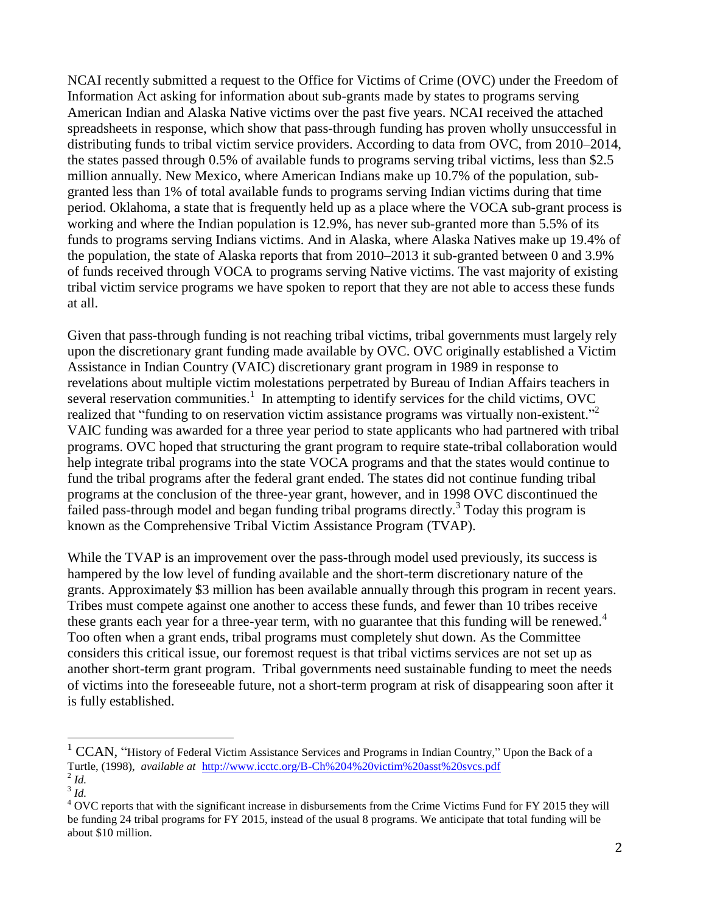NCAI recently submitted a request to the Office for Victims of Crime (OVC) under the Freedom of Information Act asking for information about sub-grants made by states to programs serving American Indian and Alaska Native victims over the past five years. NCAI received the attached spreadsheets in response, which show that pass-through funding has proven wholly unsuccessful in distributing funds to tribal victim service providers. According to data from OVC, from 2010–2014, the states passed through 0.5% of available funds to programs serving tribal victims, less than \$2.5 million annually. New Mexico, where American Indians make up 10.7% of the population, subgranted less than 1% of total available funds to programs serving Indian victims during that time period. Oklahoma, a state that is frequently held up as a place where the VOCA sub-grant process is working and where the Indian population is 12.9%, has never sub-granted more than 5.5% of its funds to programs serving Indians victims. And in Alaska, where Alaska Natives make up 19.4% of the population, the state of Alaska reports that from 2010–2013 it sub-granted between 0 and 3.9% of funds received through VOCA to programs serving Native victims. The vast majority of existing tribal victim service programs we have spoken to report that they are not able to access these funds at all.

Given that pass-through funding is not reaching tribal victims, tribal governments must largely rely upon the discretionary grant funding made available by OVC. OVC originally established a Victim Assistance in Indian Country (VAIC) discretionary grant program in 1989 in response to revelations about multiple victim molestations perpetrated by Bureau of Indian Affairs teachers in several reservation communities.<sup>1</sup> In attempting to identify services for the child victims, OVC realized that "funding to on reservation victim assistance programs was virtually non-existent."<sup>2</sup> VAIC funding was awarded for a three year period to state applicants who had partnered with tribal programs. OVC hoped that structuring the grant program to require state-tribal collaboration would help integrate tribal programs into the state VOCA programs and that the states would continue to fund the tribal programs after the federal grant ended. The states did not continue funding tribal programs at the conclusion of the three-year grant, however, and in 1998 OVC discontinued the failed pass-through model and began funding tribal programs directly.<sup>3</sup> Today this program is known as the Comprehensive Tribal Victim Assistance Program (TVAP).

While the TVAP is an improvement over the pass-through model used previously, its success is hampered by the low level of funding available and the short-term discretionary nature of the grants. Approximately \$3 million has been available annually through this program in recent years. Tribes must compete against one another to access these funds, and fewer than 10 tribes receive these grants each year for a three-year term, with no guarantee that this funding will be renewed. $4$ Too often when a grant ends, tribal programs must completely shut down. As the Committee considers this critical issue, our foremost request is that tribal victims services are not set up as another short-term grant program. Tribal governments need sustainable funding to meet the needs of victims into the foreseeable future, not a short-term program at risk of disappearing soon after it is fully established.

 $\overline{a}$ 

 $1$  CCAN, "History of Federal Victim Assistance Services and Programs in Indian Country," Upon the Back of a Turtle, (1998), *available at* <http://www.icctc.org/B-Ch%204%20victim%20asst%20svcs.pdf> 2 *Id.*

<sup>3</sup> *Id.* 

<sup>&</sup>lt;sup>4</sup> OVC reports that with the significant increase in disbursements from the Crime Victims Fund for FY 2015 they will be funding 24 tribal programs for FY 2015, instead of the usual 8 programs. We anticipate that total funding will be about \$10 million.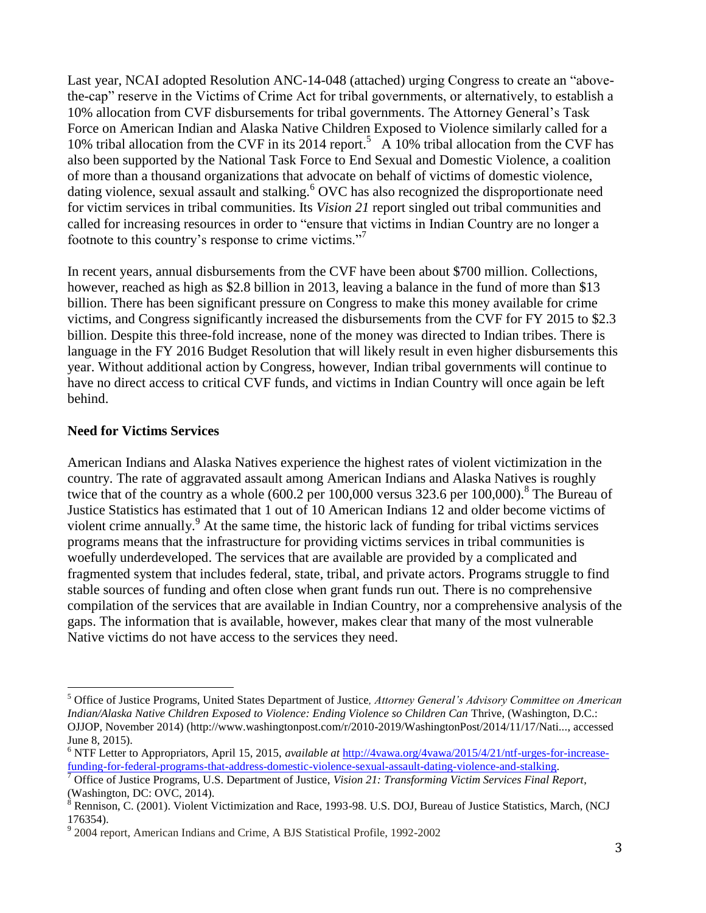Last year, NCAI adopted Resolution ANC-14-048 (attached) urging Congress to create an "abovethe-cap" reserve in the Victims of Crime Act for tribal governments, or alternatively, to establish a 10% allocation from CVF disbursements for tribal governments. The Attorney General's Task Force on American Indian and Alaska Native Children Exposed to Violence similarly called for a 10% tribal allocation from the CVF in its 2014 report.<sup>5</sup> A 10% tribal allocation from the CVF has also been supported by the National Task Force to End Sexual and Domestic Violence, a coalition of more than a thousand organizations that advocate on behalf of victims of domestic violence, dating violence, sexual assault and stalking.<sup>6</sup> OVC has also recognized the disproportionate need for victim services in tribal communities. Its *Vision 21* report singled out tribal communities and called for increasing resources in order to "ensure that victims in Indian Country are no longer a footnote to this country's response to crime victims."<sup>7</sup>

In recent years, annual disbursements from the CVF have been about \$700 million. Collections, however, reached as high as \$2.8 billion in 2013, leaving a balance in the fund of more than \$13 billion. There has been significant pressure on Congress to make this money available for crime victims, and Congress significantly increased the disbursements from the CVF for FY 2015 to \$2.3 billion. Despite this three-fold increase, none of the money was directed to Indian tribes. There is language in the FY 2016 Budget Resolution that will likely result in even higher disbursements this year. Without additional action by Congress, however, Indian tribal governments will continue to have no direct access to critical CVF funds, and victims in Indian Country will once again be left behind.

#### **Need for Victims Services**

 $\overline{a}$ 

American Indians and Alaska Natives experience the highest rates of violent victimization in the country. The rate of aggravated assault among American Indians and Alaska Natives is roughly twice that of the country as a whole  $(600.2 \text{ per } 100,000 \text{ versus } 323.6 \text{ per } 100,000)$ .<sup>8</sup> The Bureau of Justice Statistics has estimated that 1 out of 10 American Indians 12 and older become victims of violent crime annually.<sup>9</sup> At the same time, the historic lack of funding for tribal victims services programs means that the infrastructure for providing victims services in tribal communities is woefully underdeveloped. The services that are available are provided by a complicated and fragmented system that includes federal, state, tribal, and private actors. Programs struggle to find stable sources of funding and often close when grant funds run out. There is no comprehensive compilation of the services that are available in Indian Country, nor a comprehensive analysis of the gaps. The information that is available, however, makes clear that many of the most vulnerable Native victims do not have access to the services they need.

<sup>5</sup> Office of Justice Programs, United States Department of Justice*, Attorney General's Advisory Committee on American Indian/Alaska Native Children Exposed to Violence: Ending Violence so Children Can Thrive, (Washington, D.C.:* OJJOP, November 2014) [\(http://www.washingtonpost.com/r/2010-2019/WashingtonPost/2014/11/17/Nati...,](http://www.washingtonpost.com/r/2010-2019/WashingtonPost/2014/11/17/National-Security/Graphics/Report_re5.pdf) accessed June 8, 2015).

<sup>6</sup> NTF Letter to Appropriators, April 15, 2015, *available at* [http://4vawa.org/4vawa/2015/4/21/ntf-urges-for-increase](http://4vawa.org/4vawa/2015/4/21/ntf-urges-for-increase-funding-for-federal-programs-that-address-domestic-violence-sexual-assault-dating-violence-and-stalking)[funding-for-federal-programs-that-address-domestic-violence-sexual-assault-dating-violence-and-stalking.](http://4vawa.org/4vawa/2015/4/21/ntf-urges-for-increase-funding-for-federal-programs-that-address-domestic-violence-sexual-assault-dating-violence-and-stalking)

<sup>7</sup> Office of Justice Programs, U.S. Department of Justice, *Vision 21: Transforming Victim Services Final Report*, (Washington, DC: OVC, 2014).

<sup>&</sup>lt;sup>8</sup> Rennison, C. (2001). Violent Victimization and Race, 1993-98. U.S. DOJ, Bureau of Justice Statistics, March, (NCJ 176354).

<sup>&</sup>lt;sup>9</sup> 2004 report, American Indians and Crime, A BJS Statistical Profile, 1992-2002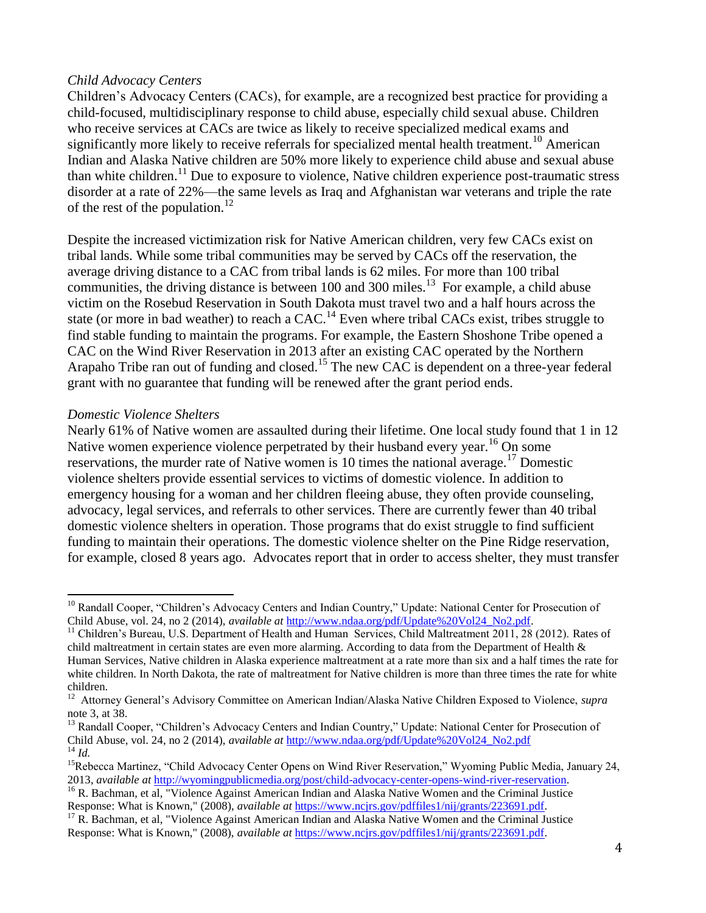#### *Child Advocacy Centers*

Children's Advocacy Centers (CACs), for example, are a recognized best practice for providing a child-focused, multidisciplinary response to child abuse, especially child sexual abuse. Children who receive services at CACs are twice as likely to receive specialized medical exams and significantly more likely to receive referrals for specialized mental health treatment.<sup>10</sup> American Indian and Alaska Native children are 50% more likely to experience child abuse and sexual abuse than white children.<sup>11</sup> Due to exposure to violence, Native children experience post-traumatic stress disorder at a rate of 22%—the same levels as Iraq and Afghanistan war veterans and triple the rate of the rest of the population.<sup>12</sup>

Despite the increased victimization risk for Native American children, very few CACs exist on tribal lands. While some tribal communities may be served by CACs off the reservation, the average driving distance to a CAC from tribal lands is 62 miles. For more than 100 tribal communities, the driving distance is between 100 and 300 miles.<sup>13</sup> For example, a child abuse victim on the Rosebud Reservation in South Dakota must travel two and a half hours across the state (or more in bad weather) to reach a  $CAC$ <sup>14</sup>. Even where tribal CACs exist, tribes struggle to find stable funding to maintain the programs. For example, the Eastern Shoshone Tribe opened a CAC on the Wind River Reservation in 2013 after an existing CAC operated by the Northern Arapaho Tribe ran out of funding and closed.<sup>15</sup> The new CAC is dependent on a three-year federal grant with no guarantee that funding will be renewed after the grant period ends.

#### *Domestic Violence Shelters*

l

Nearly 61% of Native women are assaulted during their lifetime. One local study found that 1 in 12 Native women experience violence perpetrated by their husband every year.<sup>16</sup> On some reservations, the murder rate of Native women is 10 times the national average.<sup>17</sup> Domestic violence shelters provide essential services to victims of domestic violence. In addition to emergency housing for a woman and her children fleeing abuse, they often provide counseling, advocacy, legal services, and referrals to other services. There are currently fewer than 40 tribal domestic violence shelters in operation. Those programs that do exist struggle to find sufficient funding to maintain their operations. The domestic violence shelter on the Pine Ridge reservation, for example, closed 8 years ago. Advocates report that in order to access shelter, they must transfer

<sup>&</sup>lt;sup>10</sup> Randall Cooper, "Children's Advocacy Centers and Indian Country," Update: National Center for Prosecution of Child Abuse, vol. 24, no 2 (2014), *available at* [http://www.ndaa.org/pdf/Update%20Vol24\\_No2.pdf.](http://www.ndaa.org/pdf/Update%20Vol24_No2.pdf)

<sup>&</sup>lt;sup>11</sup> Children's Bureau, U.S. Department of Health and Human Services, Child Maltreatment 2011, 28 (2012). Rates of child maltreatment in certain states are even more alarming. According to data from the Department of Health & Human Services, Native children in Alaska experience maltreatment at a rate more than six and a half times the rate for white children. In North Dakota, the rate of maltreatment for Native children is more than three times the rate for white children.

<sup>12</sup> Attorney General's Advisory Committee on American Indian/Alaska Native Children Exposed to Violence, *supra* note 3, at 38.

<sup>&</sup>lt;sup>13</sup> Randall Cooper, "Children's Advocacy Centers and Indian Country," Update: National Center for Prosecution of Child Abuse, vol. 24, no 2 (2014), *available at* [http://www.ndaa.org/pdf/Update%20Vol24\\_No2.pdf](http://www.ndaa.org/pdf/Update%20Vol24_No2.pdf) <sup>14</sup> *Id.*

<sup>&</sup>lt;sup>15</sup>Rebecca Martinez, "Child Advocacy Center Opens on Wind River Reservation," Wyoming Public Media, January 24, 2013, *available at* [http://wyomingpublicmedia.org/post/child-advocacy-center-opens-wind-river-reservation.](http://wyomingpublicmedia.org/post/child-advocacy-center-opens-wind-river-reservation)

<sup>&</sup>lt;sup>16</sup> R. Bachman, et al, "Violence Against American Indian and Alaska Native Women and the Criminal Justice Response: What is Known," (2008), *available at* [https://www.ncjrs.gov/pdffiles1/nij/grants/223691.pdf.](https://www.ncjrs.gov/pdffiles1/nij/grants/223691.pdf)

 $17$  R. Bachman, et al, "Violence Against American Indian and Alaska Native Women and the Criminal Justice Response: What is Known," (2008), *available at* [https://www.ncjrs.gov/pdffiles1/nij/grants/223691.pdf.](https://www.ncjrs.gov/pdffiles1/nij/grants/223691.pdf)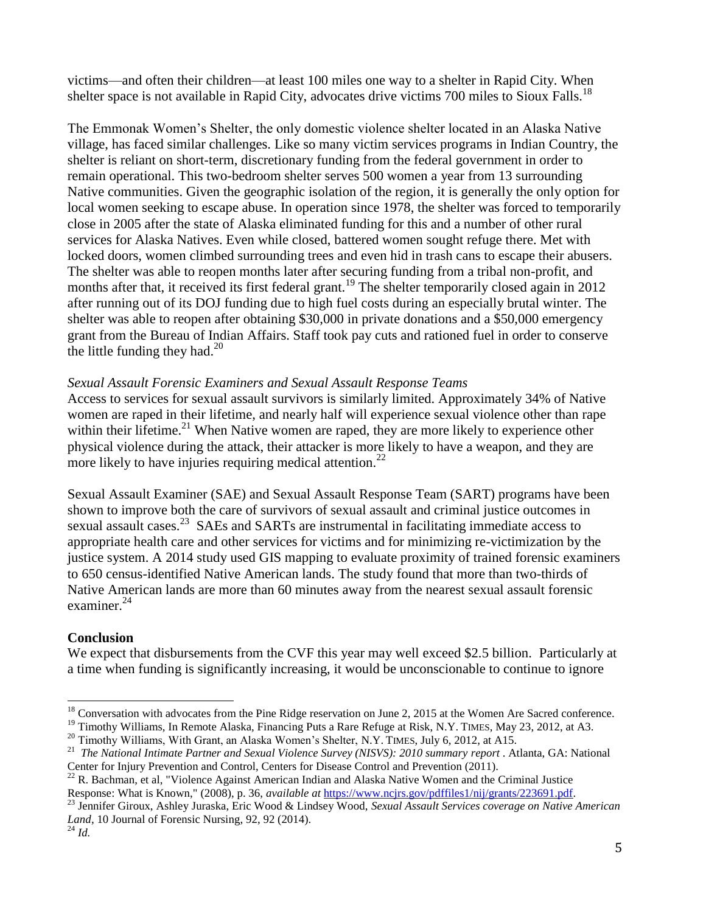victims—and often their children—at least 100 miles one way to a shelter in Rapid City. When shelter space is not available in Rapid City, advocates drive victims 700 miles to Sioux Falls.<sup>18</sup>

The Emmonak Women's Shelter, the only domestic violence shelter located in an Alaska Native village, has faced similar challenges. Like so many victim services programs in Indian Country, the shelter is reliant on short-term, discretionary funding from the federal government in order to remain operational. This two-bedroom shelter serves 500 women a year from 13 surrounding Native communities. Given the geographic isolation of the region, it is generally the only option for local women seeking to escape abuse. In operation since 1978, the shelter was forced to temporarily close in 2005 after the state of Alaska eliminated funding for this and a number of other rural services for Alaska Natives. Even while closed, battered women sought refuge there. Met with locked doors, women climbed surrounding trees and even hid in trash cans to escape their abusers. The shelter was able to reopen months later after securing funding from a tribal non-profit, and months after that, it received its first federal grant.<sup>19</sup> The shelter temporarily closed again in 2012 after running out of its DOJ funding due to high fuel costs during an especially brutal winter. The shelter was able to reopen after obtaining \$30,000 in private donations and a \$50,000 emergency grant from the Bureau of Indian Affairs. Staff took pay cuts and rationed fuel in order to conserve the little funding they had. $^{20}$ 

## *Sexual Assault Forensic Examiners and Sexual Assault Response Teams*

Access to services for sexual assault survivors is similarly limited. Approximately 34% of Native women are raped in their lifetime, and nearly half will experience sexual violence other than rape within their lifetime.<sup>21</sup> When Native women are raped, they are more likely to experience other physical violence during the attack, their attacker is more likely to have a weapon, and they are more likely to have injuries requiring medical attention.<sup>22</sup>

Sexual Assault Examiner (SAE) and Sexual Assault Response Team (SART) programs have been shown to improve both the care of survivors of sexual assault and criminal justice outcomes in sexual assault cases.<sup>23</sup> SAEs and SARTs are instrumental in facilitating immediate access to appropriate health care and other services for victims and for minimizing re-victimization by the justice system. A 2014 study used GIS mapping to evaluate proximity of trained forensic examiners to 650 census-identified Native American lands. The study found that more than two-thirds of Native American lands are more than 60 minutes away from the nearest sexual assault forensic examiner.<sup>24</sup>

## **Conclusion**

We expect that disbursements from the CVF this year may well exceed \$2.5 billion. Particularly at a time when funding is significantly increasing, it would be unconscionable to continue to ignore

 $\overline{a}$ 

<sup>&</sup>lt;sup>18</sup> Conversation with advocates from the Pine Ridge reservation on June 2, 2015 at the Women Are Sacred conference.

<sup>&</sup>lt;sup>19</sup> Timothy Williams, In Remote Alaska, Financing Puts a Rare Refuge at Risk, N.Y. TIMES, May 23, 2012, at A3.

<sup>&</sup>lt;sup>20</sup> Timothy Williams, With Grant, an Alaska Women's Shelter, N.Y. TIMES, July 6, 2012, at A15.

<sup>21</sup> *The National Intimate Partner and Sexual Violence Survey (NISVS): 2010 summary report* . Atlanta, GA: National Center for Injury Prevention and Control, Centers for Disease Control and Prevention (2011).

<sup>&</sup>lt;sup>22</sup> R. Bachman, et al, "Violence Against American Indian and Alaska Native Women and the Criminal Justice Response: What is Known," (2008), p. 36, *available at* [https://www.ncjrs.gov/pdffiles1/nij/grants/223691.pdf.](https://www.ncjrs.gov/pdffiles1/nij/grants/223691.pdf)

<sup>23</sup> Jennifer Giroux, Ashley Juraska, Eric Wood & Lindsey Wood, *Sexual Assault Services coverage on Native American Land*, 10 Journal of Forensic Nursing, 92, 92 (2014).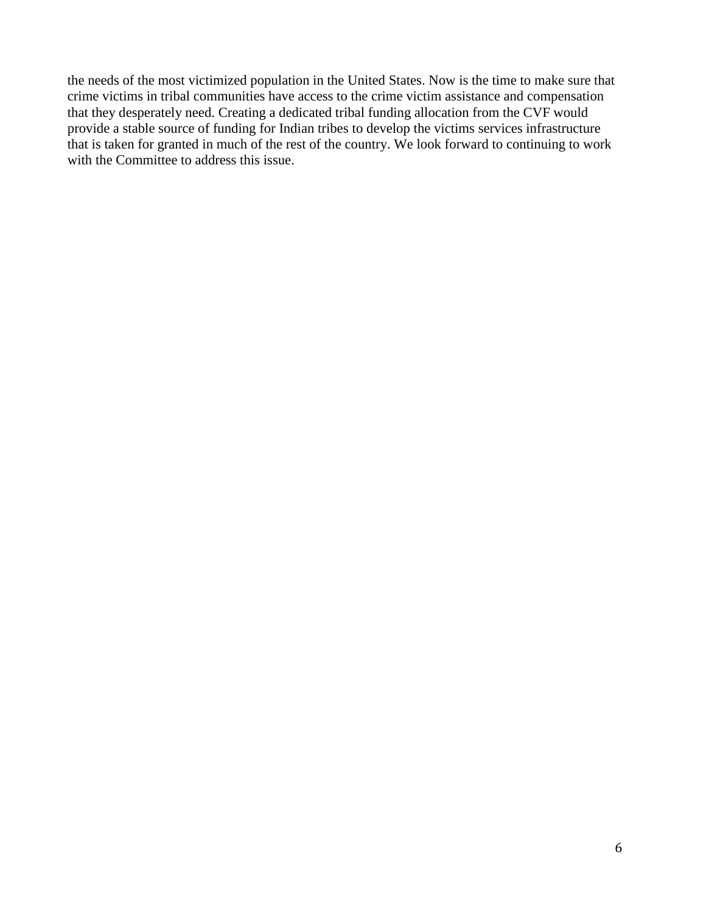the needs of the most victimized population in the United States. Now is the time to make sure that crime victims in tribal communities have access to the crime victim assistance and compensation that they desperately need. Creating a dedicated tribal funding allocation from the CVF would provide a stable source of funding for Indian tribes to develop the victims services infrastructure that is taken for granted in much of the rest of the country. We look forward to continuing to work with the Committee to address this issue.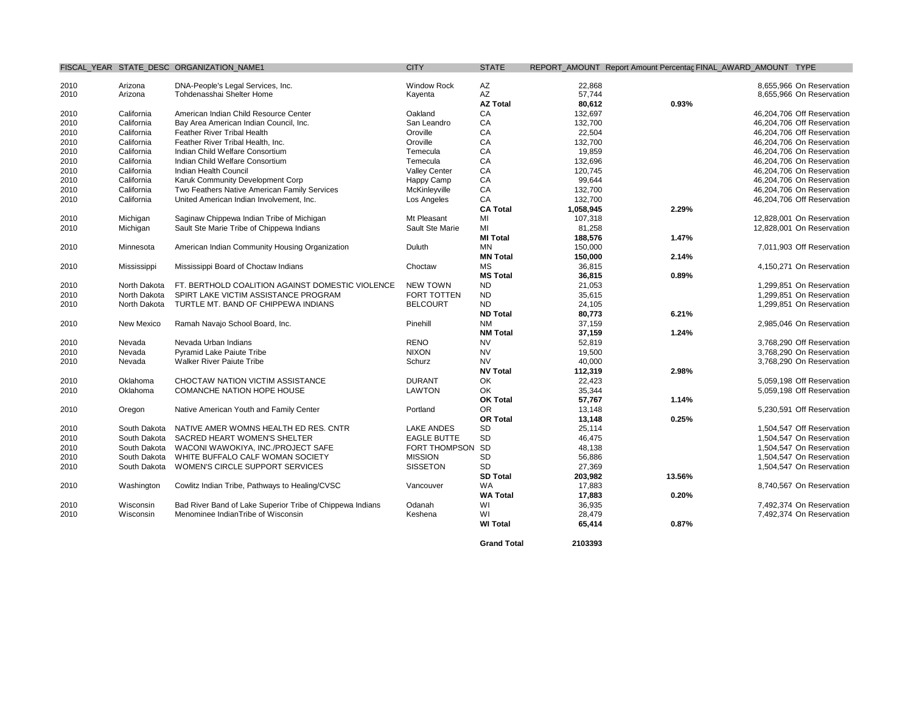| 2010<br>2010 | Arizona      |                                                           |                      |                 |           |        |                            |
|--------------|--------------|-----------------------------------------------------------|----------------------|-----------------|-----------|--------|----------------------------|
|              |              | DNA-People's Legal Services, Inc.                         | <b>Window Rock</b>   | AZ              | 22,868    |        | 8,655,966 On Reservation   |
|              | Arizona      | Tohdenasshai Shelter Home                                 | Kayenta              | AZ              | 57,744    |        | 8,655,966 On Reservation   |
|              |              |                                                           |                      | <b>AZ Total</b> | 80,612    | 0.93%  |                            |
| 2010         | California   | American Indian Child Resource Center                     | Oakland              | CA              | 132,697   |        | 46,204,706 Off Reservation |
| 2010         | California   | Bay Area American Indian Council, Inc.                    | San Leandro          | CA              | 132,700   |        | 46,204,706 Off Reservation |
| 2010         | California   | Feather River Tribal Health                               | Oroville             | CA              | 22,504    |        | 46,204,706 Off Reservation |
| 2010         | California   | Feather River Tribal Health, Inc.                         | Oroville             | CA              | 132,700   |        | 46,204,706 On Reservation  |
| 2010         | California   | Indian Child Welfare Consortium                           | Temecula             | CA              | 19,859    |        | 46,204,706 On Reservation  |
| 2010         | California   | Indian Child Welfare Consortium                           | Temecula             | CA              | 132,696   |        | 46,204,706 On Reservation  |
| 2010         | California   | Indian Health Council                                     | <b>Valley Center</b> | CA              | 120,745   |        | 46,204,706 On Reservation  |
| 2010         | California   | Karuk Community Development Corp                          | Happy Camp           | CA              | 99,644    |        | 46,204,706 On Reservation  |
| 2010         | California   | Two Feathers Native American Family Services              | McKinleyville        | CA              | 132,700   |        | 46,204,706 On Reservation  |
| 2010         | California   | United American Indian Involvement, Inc.                  | Los Angeles          | CA              | 132,700   |        | 46,204,706 Off Reservation |
|              |              |                                                           |                      | <b>CA Total</b> | 1,058,945 | 2.29%  |                            |
| 2010         | Michigan     | Saginaw Chippewa Indian Tribe of Michigan                 | Mt Pleasant          | MI              | 107,318   |        | 12,828,001 On Reservation  |
| 2010         | Michigan     | Sault Ste Marie Tribe of Chippewa Indians                 | Sault Ste Marie      | MI              | 81,258    |        | 12,828,001 On Reservation  |
|              |              |                                                           |                      | <b>MI Total</b> | 188,576   | 1.47%  |                            |
| 2010         | Minnesota    | American Indian Community Housing Organization            | Duluth               | <b>MN</b>       | 150,000   |        | 7,011,903 Off Reservation  |
|              |              |                                                           |                      | <b>MN Total</b> | 150,000   | 2.14%  |                            |
| 2010         | Mississippi  | Mississippi Board of Choctaw Indians                      | Choctaw              | <b>MS</b>       | 36,815    |        | 4,150,271 On Reservation   |
|              |              |                                                           |                      | <b>MS Total</b> | 36,815    | 0.89%  |                            |
| 2010         | North Dakota | FT. BERTHOLD COALITION AGAINST DOMESTIC VIOLENCE          | <b>NEW TOWN</b>      | <b>ND</b>       | 21,053    |        | 1,299,851 On Reservation   |
| 2010         | North Dakota | SPIRT LAKE VICTIM ASSISTANCE PROGRAM                      | <b>FORT TOTTEN</b>   | <b>ND</b>       | 35,615    |        | 1,299,851 On Reservation   |
| 2010         | North Dakota | TURTLE MT. BAND OF CHIPPEWA INDIANS                       | <b>BELCOURT</b>      | <b>ND</b>       | 24,105    |        | 1,299,851 On Reservation   |
|              |              |                                                           |                      | <b>ND Total</b> | 80,773    | 6.21%  |                            |
| 2010         | New Mexico   | Ramah Navajo School Board, Inc.                           | Pinehill             | <b>NM</b>       | 37,159    |        | 2,985,046 On Reservation   |
|              |              |                                                           |                      | <b>NM Total</b> | 37,159    | 1.24%  |                            |
| 2010         | Nevada       | Nevada Urban Indians                                      | <b>RENO</b>          | <b>NV</b>       | 52,819    |        | 3,768,290 Off Reservation  |
| 2010         | Nevada       | <b>Pyramid Lake Paiute Tribe</b>                          | <b>NIXON</b>         | <b>NV</b>       | 19,500    |        | 3.768.290 On Reservation   |
| 2010         | Nevada       | <b>Walker River Paiute Tribe</b>                          | Schurz               | <b>NV</b>       | 40,000    |        | 3,768,290 On Reservation   |
|              |              |                                                           |                      | <b>NV Total</b> | 112,319   | 2.98%  |                            |
| 2010         | Oklahoma     | CHOCTAW NATION VICTIM ASSISTANCE                          | <b>DURANT</b>        | OK              | 22,423    |        | 5,059,198 Off Reservation  |
| 2010         | Oklahoma     | COMANCHE NATION HOPE HOUSE                                | <b>LAWTON</b>        | OK              | 35,344    |        | 5,059,198 Off Reservation  |
|              |              |                                                           |                      | <b>OK Total</b> | 57,767    | 1.14%  |                            |
| 2010         | Oregon       | Native American Youth and Family Center                   | Portland             | OR.             | 13,148    |        | 5,230,591 Off Reservation  |
|              |              |                                                           |                      | <b>OR Total</b> | 13,148    | 0.25%  |                            |
| 2010         | South Dakota | NATIVE AMER WOMNS HEALTH ED RES. CNTR                     | <b>LAKE ANDES</b>    | <b>SD</b>       | 25,114    |        | 1,504,547 Off Reservation  |
| 2010         | South Dakota | SACRED HEART WOMEN'S SHELTER                              | <b>EAGLE BUTTE</b>   | <b>SD</b>       | 46,475    |        | 1,504,547 On Reservation   |
| 2010         | South Dakota | WACONI WAWOKIYA, INC./PROJECT SAFE                        | <b>FORT THOMPSON</b> | <b>SD</b>       | 48,138    |        | 1.504.547 On Reservation   |
| 2010         | South Dakota | WHITE BUFFALO CALF WOMAN SOCIETY                          | <b>MISSION</b>       | <b>SD</b>       | 56,886    |        | 1,504,547 On Reservation   |
| 2010         | South Dakota | WOMEN'S CIRCLE SUPPORT SERVICES                           | <b>SISSETON</b>      | SD              | 27,369    |        | 1,504,547 On Reservation   |
|              |              |                                                           |                      | <b>SD Total</b> | 203,982   | 13.56% |                            |
| 2010         | Washington   | Cowlitz Indian Tribe, Pathways to Healing/CVSC            | Vancouver            | <b>WA</b>       | 17,883    |        | 8,740,567 On Reservation   |
|              |              |                                                           |                      | <b>WA Total</b> | 17,883    | 0.20%  |                            |
| 2010         | Wisconsin    | Bad River Band of Lake Superior Tribe of Chippewa Indians | Odanah               | WI              | 36,935    |        | 7,492,374 On Reservation   |
| 2010         | Wisconsin    | Menominee IndianTribe of Wisconsin                        | Keshena              | WI              | 28,479    |        | 7,492,374 On Reservation   |
|              |              |                                                           |                      | <b>WI Total</b> | 65,414    | 0.87%  |                            |

**Grand Total 2103393**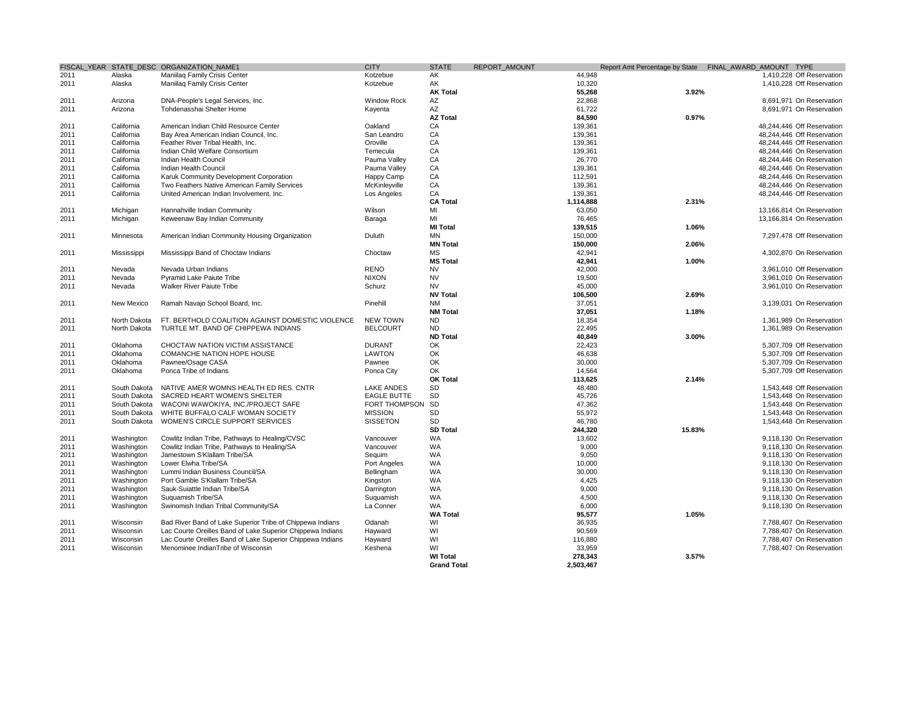|      |              | FISCAL YEAR STATE DESC ORGANIZATION NAME1                  | <b>CITY</b>        | <b>STATE</b>       | REPORT AMOUNT |        | Report Amt Percentage by State FINAL_AWARD_AMOUNT TYPE |
|------|--------------|------------------------------------------------------------|--------------------|--------------------|---------------|--------|--------------------------------------------------------|
| 2011 | Alaska       | Maniilaq Family Crisis Center                              | Kotzebue           | AK                 | 44,948        |        | 1,410,228 Off Reservation                              |
| 2011 | Alaska       | Maniilag Family Crisis Center                              | Kotzebue           | AK                 | 10,320        |        | 1,410,228 Off Reservation                              |
|      |              |                                                            |                    | <b>AK Total</b>    | 55,268        | 3.92%  |                                                        |
| 2011 | Arizona      | DNA-People's Legal Services, Inc.                          | <b>Window Rock</b> | AZ                 | 22,868        |        | 8,691,971 On Reservation                               |
| 2011 | Arizona      | Tohdenasshai Shelter Home                                  | Kayenta            | AZ                 | 61,722        |        | 8,691,971 On Reservation                               |
|      |              |                                                            |                    | <b>AZ Total</b>    | 84,590        | 0.97%  |                                                        |
| 2011 | California   | American Indian Child Resource Center                      | Oakland            | CA                 | 139,361       |        | 48,244,446 Off Reservation                             |
| 2011 | California   | Bay Area American Indian Council, Inc.                     | San Leandro        | CA                 | 139,361       |        | 48,244,446 Off Reservation                             |
| 2011 | California   | Feather River Tribal Health, Inc.                          | Oroville           | CA                 | 139,361       |        | 48,244,446 Off Reservation                             |
| 2011 | California   | Indian Child Welfare Consortium                            | Temecula           | CA                 | 139,361       |        | 48,244,446 On Reservation                              |
| 2011 | California   | Indian Health Council                                      | Pauma Valley       | CA                 | 26,770        |        | 48,244,446 On Reservation                              |
| 2011 | California   | Indian Health Council                                      | Pauma Valley       | CA                 | 139,361       |        | 48,244,446 On Reservation                              |
| 2011 | California   | Karuk Community Development Corporation                    | Happy Camp         | CA                 | 112,591       |        | 48,244,446 On Reservation                              |
| 2011 | California   | Two Feathers Native American Family Services               | McKinleyville      | CA                 | 139,361       |        | 48,244,446 On Reservation                              |
| 2011 | California   | United American Indian Involvement, Inc.                   | Los Angeles        | CA                 | 139,361       |        | 48,244,446 Off Reservation                             |
|      |              |                                                            |                    | <b>CA Total</b>    | 1,114,888     | 2.31%  |                                                        |
| 2011 | Michigan     | Hannahville Indian Community                               | Wilson             | MI                 | 63,050        |        | 13,166,814 On Reservation                              |
| 2011 | Michigan     | Keweenaw Bay Indian Community                              | Baraga             | MI                 | 76,465        |        | 13,166,814 On Reservation                              |
|      |              |                                                            |                    | <b>MI Total</b>    | 139,515       | 1.06%  |                                                        |
| 2011 | Minnesota    | American Indian Community Housing Organization             | Duluth             | <b>MN</b>          | 150,000       |        | 7,297,478 Off Reservation                              |
|      |              |                                                            |                    |                    |               |        |                                                        |
|      |              |                                                            |                    | <b>MN Total</b>    | 150,000       | 2.06%  |                                                        |
| 2011 | Mississippi  | Mississippi Band of Choctaw Indians                        | Choctaw            | <b>MS</b>          | 42,941        |        | 4.302.870 On Reservation                               |
|      |              |                                                            |                    | <b>MS Total</b>    | 42,941        | 1.00%  |                                                        |
| 2011 | Nevada       | Nevada Urban Indians                                       | <b>RENO</b>        | <b>NV</b>          | 42,000        |        | 3,961,010 Off Reservation                              |
| 2011 | Nevada       | <b>Pyramid Lake Paiute Tribe</b>                           | <b>NIXON</b>       | <b>NV</b>          | 19,500        |        | 3.961.010 On Reservation                               |
| 2011 | Nevada       | Walker River Paiute Tribe                                  | Schurz             | <b>NV</b>          | 45,000        |        | 3,961,010 On Reservation                               |
|      |              |                                                            |                    | <b>NV Total</b>    | 106,500       | 2.69%  |                                                        |
| 2011 | New Mexico   | Ramah Navajo School Board, Inc.                            | Pinehill           | <b>NM</b>          | 37,051        |        | 3,139,031 On Reservation                               |
|      |              |                                                            |                    | <b>NM Total</b>    | 37,051        | 1.18%  |                                                        |
| 2011 | North Dakota | FT. BERTHOLD COALITION AGAINST DOMESTIC VIOLENCE           | <b>NEW TOWN</b>    | <b>ND</b>          | 18,354        |        | 1,361,989 On Reservation                               |
| 2011 | North Dakota | TURTLE MT. BAND OF CHIPPEWA INDIANS                        | <b>BELCOURT</b>    | <b>ND</b>          | 22,495        |        | 1,361,989 On Reservation                               |
|      |              |                                                            |                    | <b>ND Total</b>    | 40,849        | 3.00%  |                                                        |
| 2011 | Oklahoma     | CHOCTAW NATION VICTIM ASSISTANCE                           | <b>DURANT</b>      | OK                 | 22,423        |        | 5,307,709 Off Reservation                              |
| 2011 | Oklahoma     | <b>COMANCHE NATION HOPE HOUSE</b>                          | <b>LAWTON</b>      | OK                 | 46,638        |        | 5,307,709 Off Reservation                              |
| 2011 | Oklahoma     | Pawnee/Osage CASA                                          | Pawnee             | OK                 | 30,000        |        | 5,307,709 On Reservation                               |
| 2011 | Oklahoma     | Ponca Tribe of Indians                                     | Ponca City         | OK                 | 14,564        |        | 5,307,709 Off Reservation                              |
|      |              |                                                            |                    | <b>OK Total</b>    | 113,625       | 2.14%  |                                                        |
| 2011 | South Dakota | NATIVE AMER WOMNS HEALTH ED RES. CNTR                      | <b>LAKE ANDES</b>  | SD                 | 48,480        |        | 1,543,448 Off Reservation                              |
| 2011 | South Dakota | SACRED HEART WOMEN'S SHELTER                               | <b>EAGLE BUTTE</b> | SD                 | 45,726        |        | 1,543,448 On Reservation                               |
| 2011 | South Dakota | WACONI WAWOKIYA, INC./PROJECT SAFE                         | FORT THOMPSON SD   |                    | 47,362        |        | 1,543,448 On Reservation                               |
| 2011 | South Dakota | WHITE BUFFALO CALF WOMAN SOCIETY                           | <b>MISSION</b>     | SD                 | 55,972        |        | 1,543,448 On Reservation                               |
| 2011 | South Dakota | WOMEN'S CIRCLE SUPPORT SERVICES                            | <b>SISSETON</b>    | SD                 | 46,780        |        | 1,543,448 On Reservation                               |
|      |              |                                                            |                    | <b>SD Total</b>    | 244,320       | 15.83% |                                                        |
| 2011 | Washington   | Cowlitz Indian Tribe, Pathways to Healing/CVSC             | Vancouver          | WA                 | 13,602        |        | 9,118,130 On Reservation                               |
| 2011 | Washington   | Cowlitz Indian Tribe, Pathways to Healing/SA               | Vancouver          | <b>WA</b>          | 9,000         |        | 9,118,130 On Reservation                               |
| 2011 | Washington   | Jamestown S'Klallam Tribe/SA                               | Sequim             | <b>WA</b>          | 9,050         |        | 9,118,130 On Reservation                               |
| 2011 | Washington   | Lower Elwha Tribe/SA                                       | Port Angeles       | <b>WA</b>          | 10,000        |        | 9,118,130 On Reservation                               |
| 2011 | Washington   | Lummi Indian Business Council/SA                           | Bellingham         | <b>WA</b>          | 30,000        |        | 9,118,130 On Reservation                               |
| 2011 | Washington   | Port Gamble S'Klallam Tribe/SA                             | Kingston           | <b>WA</b>          | 4,425         |        | 9,118,130 On Reservation                               |
| 2011 | Washington   | Sauk-Suiattle Indian Tribe/SA                              | Darrington         | <b>WA</b>          | 9,000         |        | 9,118,130 On Reservation                               |
| 2011 | Washington   | Suquamish Tribe/SA                                         | Suguamish          | <b>WA</b>          | 4,500         |        | 9,118,130 On Reservation                               |
| 2011 | Washington   | Swinomish Indian Tribal Community/SA                       | La Conner          | <b>WA</b>          | 6,000         |        | 9,118,130 On Reservation                               |
|      |              |                                                            |                    | <b>WA Total</b>    | 95,577        | 1.05%  |                                                        |
| 2011 | Wisconsin    | Bad River Band of Lake Superior Tribe of Chippewa Indians  | Odanah             | WI                 | 36,935        |        | 7,788,407 On Reservation                               |
| 2011 | Wisconsin    | Lac Courte Oreilles Band of Lake Superior Chippewa Indians | Hayward            | WI                 | 90,569        |        | 7.788.407 On Reservation                               |
| 2011 | Wisconsin    | Lac Courte Oreilles Band of Lake Superior Chippewa Indians | Hayward            | WI                 | 116,880       |        | 7,788,407 On Reservation                               |
| 2011 | Wisconsin    | Menominee IndianTribe of Wisconsin                         | Keshena            | WI                 | 33,959        |        | 7.788.407 On Reservation                               |
|      |              |                                                            |                    | <b>WI Total</b>    | 278,343       | 3.57%  |                                                        |
|      |              |                                                            |                    | <b>Grand Total</b> | 2,503,467     |        |                                                        |
|      |              |                                                            |                    |                    |               |        |                                                        |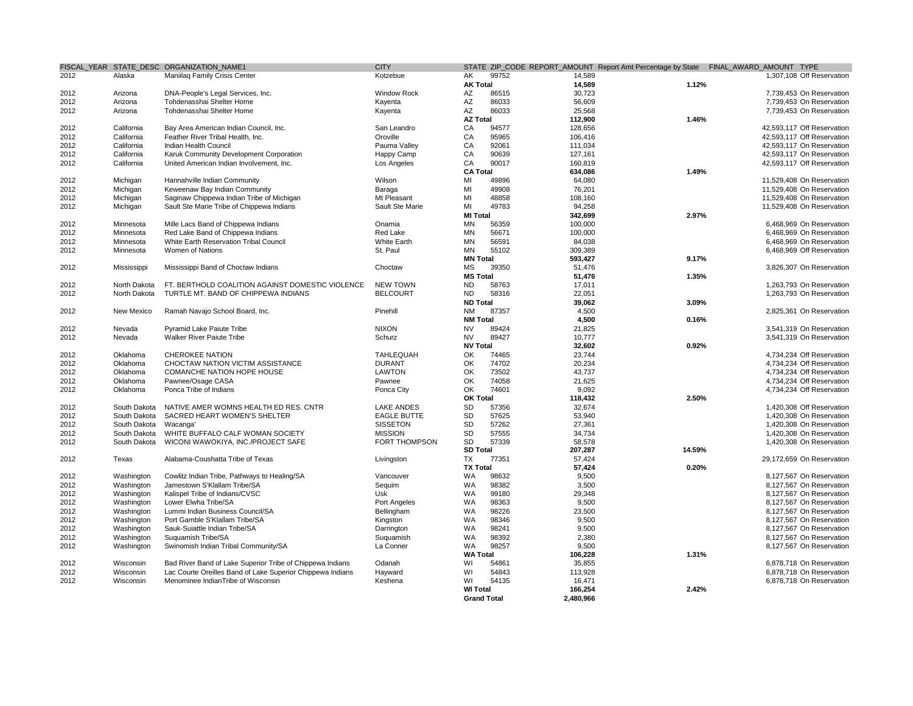|      |              | FISCAL YEAR STATE DESC ORGANIZATION NAME1                  | <b>CITY</b>          |                 |                    |           |        | STATE ZIP_CODE REPORT_AMOUNT Report Amt Percentage by State FINAL_AWARD_AMOUNT TYPE |
|------|--------------|------------------------------------------------------------|----------------------|-----------------|--------------------|-----------|--------|-------------------------------------------------------------------------------------|
| 2012 | Alaska       | Maniilag Family Crisis Center                              | Kotzebue             | AK              | 99752              | 14,589    |        | 1.307.108 Off Reservation                                                           |
|      |              |                                                            |                      | <b>AK Total</b> |                    | 14,589    | 1.12%  |                                                                                     |
| 2012 | Arizona      | DNA-People's Legal Services, Inc.                          | Window Rock          | AZ              | 86515              | 30,723    |        | 7,739,453 On Reservation                                                            |
| 2012 | Arizona      | Tohdenasshai Shelter Home                                  | Kayenta              | AZ              | 86033              | 56,609    |        | 7,739,453 On Reservation                                                            |
| 2012 | Arizona      | Tohdenasshai Shelter Home                                  | Kayenta              | AZ              | 86033              | 25,568    |        | 7,739,453 On Reservation                                                            |
|      |              |                                                            |                      | <b>AZ Total</b> |                    | 112,900   | 1.46%  |                                                                                     |
| 2012 | California   | Bay Area American Indian Council, Inc.                     | San Leandro          | CA              | 94577              | 128,656   |        | 42,593,117 Off Reservation                                                          |
|      |              |                                                            |                      | CA              |                    |           |        |                                                                                     |
| 2012 | California   | Feather River Tribal Health, Inc.                          | Oroville             |                 | 95965              | 106,416   |        | 42,593,117 Off Reservation                                                          |
| 2012 | California   | Indian Health Council                                      | Pauma Valley         | CA              | 92061              | 111,034   |        | 42,593,117 On Reservation                                                           |
| 2012 | California   | Karuk Community Development Corporation                    | Happy Camp           | CA              | 90639              | 127,161   |        | 42,593,117 On Reservation                                                           |
| 2012 | California   | United American Indian Involvement, Inc.                   | Los Angeles          | CA              | 90017              | 160,819   |        | 42,593,117 Off Reservation                                                          |
|      |              |                                                            |                      | <b>CA Total</b> |                    | 634,086   | 1.49%  |                                                                                     |
| 2012 | Michigan     | Hannahville Indian Community                               | Wilson               | MI              | 49896              | 64,080    |        | 11,529,408 On Reservation                                                           |
| 2012 | Michigan     | Keweenaw Bay Indian Community                              | Baraga               | MI              | 49908              | 76,201    |        | 11.529.408 On Reservation                                                           |
| 2012 | Michigan     | Saginaw Chippewa Indian Tribe of Michigan                  | Mt Pleasant          | MI              | 48858              | 108,160   |        | 11,529,408 On Reservation                                                           |
| 2012 | Michigan     | Sault Ste Marie Tribe of Chippewa Indians                  | Sault Ste Marie      | MI              | 49783              | 94,258    |        | 11,529,408 On Reservation                                                           |
|      |              |                                                            |                      | <b>MI Total</b> |                    | 342,699   | 2.97%  |                                                                                     |
| 2012 | Minnesota    | Mille Lacs Band of Chippewa Indians                        | Onamia               | <b>MN</b>       | 56359              | 100,000   |        | 6,468,969 On Reservation                                                            |
| 2012 | Minnesota    | Red Lake Band of Chippewa Indians                          | Red Lake             | <b>MN</b>       | 56671              | 100,000   |        | 6.468.969 On Reservation                                                            |
| 2012 | Minnesota    | White Earth Reservation Tribal Council                     | White Earth          | <b>MN</b>       | 56591              | 84,038    |        | 6,468,969 On Reservation                                                            |
| 2012 | Minnesota    | Women of Nations                                           | St. Paul             | MN              | 55102              | 309,389   |        | 6,468,969 Off Reservation                                                           |
|      |              |                                                            |                      | <b>MN Total</b> |                    | 593,427   | 9.17%  |                                                                                     |
|      |              |                                                            |                      |                 |                    |           |        |                                                                                     |
| 2012 | Mississippi  | Mississippi Band of Choctaw Indians                        | Choctaw              | <b>MS</b>       | 39350              | 51,476    |        | 3,826,307 On Reservation                                                            |
|      |              |                                                            |                      | <b>MS Total</b> |                    | 51.476    | 1.35%  |                                                                                     |
| 2012 | North Dakota | FT. BERTHOLD COALITION AGAINST DOMESTIC VIOLENCE           | <b>NEW TOWN</b>      | <b>ND</b>       | 58763              | 17,011    |        | 1.263.793 On Reservation                                                            |
| 2012 | North Dakota | TURTLE MT. BAND OF CHIPPEWA INDIANS                        | <b>BELCOURT</b>      | <b>ND</b>       | 58316              | 22,051    |        | 1,263,793 On Reservation                                                            |
|      |              |                                                            |                      | <b>ND Total</b> |                    | 39,062    | 3.09%  |                                                                                     |
| 2012 | New Mexico   | Ramah Navajo School Board, Inc.                            | Pinehill             | <b>NM</b>       | 87357              | 4,500     |        | 2,825,361 On Reservation                                                            |
|      |              |                                                            |                      | <b>NM Total</b> |                    | 4,500     | 0.16%  |                                                                                     |
| 2012 | Nevada       | Pyramid Lake Paiute Tribe                                  | <b>NIXON</b>         | <b>NV</b>       | 89424              | 21,825    |        | 3.541.319 On Reservation                                                            |
| 2012 | Nevada       | <b>Walker River Paiute Tribe</b>                           | Schurz               | <b>NV</b>       | 89427              | 10,777    |        | 3,541,319 On Reservation                                                            |
|      |              |                                                            |                      | <b>NV Total</b> |                    | 32,602    | 0.92%  |                                                                                     |
| 2012 | Oklahoma     | <b>CHEROKEE NATION</b>                                     | <b>TAHLEQUAH</b>     | OK              | 74465              | 23,744    |        | 4,734,234 Off Reservation                                                           |
| 2012 | Oklahoma     | CHOCTAW NATION VICTIM ASSISTANCE                           | <b>DURANT</b>        | OK              | 74702              | 20,234    |        | 4,734,234 Off Reservation                                                           |
| 2012 | Oklahoma     | COMANCHE NATION HOPE HOUSE                                 | <b>LAWTON</b>        | OK              | 73502              | 43,737    |        | 4,734,234 Off Reservation                                                           |
| 2012 | Oklahoma     | Pawnee/Osage CASA                                          | Pawnee               | OK              | 74058              | 21.625    |        | 4.734.234 Off Reservation                                                           |
| 2012 | Oklahoma     | Ponca Tribe of Indians                                     | Ponca City           | OK              | 74601              | 9,092     |        | 4,734,234 Off Reservation                                                           |
|      |              |                                                            |                      | <b>OK Total</b> |                    | 118,432   | 2.50%  |                                                                                     |
|      |              |                                                            |                      |                 |                    | 32,674    |        |                                                                                     |
| 2012 | South Dakota | NATIVE AMER WOMNS HEALTH ED RES. CNTR                      | <b>LAKE ANDES</b>    | SD              | 57356              |           |        | 1,420,308 Off Reservation                                                           |
| 2012 | South Dakota | SACRED HEART WOMEN'S SHELTER                               | <b>EAGLE BUTTE</b>   | SD              | 57625              | 53,940    |        | 1,420,308 On Reservation                                                            |
| 2012 | South Dakota | Wacanga <sup>®</sup>                                       | SISSETON             | SD              | 57262              | 27,361    |        | 1,420,308 On Reservation                                                            |
| 2012 | South Dakota | WHITE BUFFALO CALF WOMAN SOCIETY                           | <b>MISSION</b>       | SD              | 57555              | 34,734    |        | 1,420,308 On Reservation                                                            |
| 2012 | South Dakota | WICONI WAWOKIYA, INC./PROJECT SAFE                         | <b>FORT THOMPSON</b> | <b>SD</b>       | 57339              | 58.578    |        | 1,420,308 On Reservation                                                            |
|      |              |                                                            |                      | <b>SD Total</b> |                    | 207,287   | 14.59% |                                                                                     |
| 2012 | Texas        | Alabama-Coushatta Tribe of Texas                           | Livingston           | TX              | 77351              | 57,424    |        | 29,172,659 On Reservation                                                           |
|      |              |                                                            |                      | <b>TX Total</b> |                    | 57,424    | 0.20%  |                                                                                     |
| 2012 | Washington   | Cowlitz Indian Tribe, Pathways to Healing/SA               | Vancouver            | WA              | 98632              | 9,500     |        | 8,127,567 On Reservation                                                            |
| 2012 | Washington   | Jamestown S'Klallam Tribe/SA                               | Seauim               | <b>WA</b>       | 98382              | 3.500     |        | 8.127.567 On Reservation                                                            |
| 2012 | Washington   | Kalispel Tribe of Indians/CVSC                             | Usk                  | WA              | 99180              | 29,348    |        | 8,127,567 On Reservation                                                            |
| 2012 | Washington   | Lower Elwha Tribe/SA                                       | Port Angeles         | WA              | 98363              | 9,500     |        | 8,127,567 On Reservation                                                            |
| 2012 | Washington   | Lummi Indian Business Council/SA                           | Bellingham           | WA              | 98226              | 23,500    |        | 8,127,567 On Reservation                                                            |
| 2012 | Washington   | Port Gamble S'Klallam Tribe/SA                             | Kingston             | WA              | 98346              | 9,500     |        | 8,127,567 On Reservation                                                            |
| 2012 | Washington   | Sauk-Suiattle Indian Tribe/SA                              | Darrington           | WA              | 98241              | 9,500     |        | 8,127,567 On Reservation                                                            |
| 2012 | Washington   | Suquamish Tribe/SA                                         | Suquamish            | WA              | 98392              | 2,380     |        | 8,127,567 On Reservation                                                            |
|      |              |                                                            |                      |                 | 98257              |           |        |                                                                                     |
| 2012 | Washington   | Swinomish Indian Tribal Community/SA                       | La Conner            | WA              |                    | 9,500     |        | 8,127,567 On Reservation                                                            |
|      |              |                                                            |                      | <b>WA Total</b> |                    | 106,228   | 1.31%  |                                                                                     |
| 2012 | Wisconsin    | Bad River Band of Lake Superior Tribe of Chippewa Indians  | Odanah               | WI              | 54861              | 35,855    |        | 6,878,718 On Reservation                                                            |
| 2012 | Wisconsin    | Lac Courte Oreilles Band of Lake Superior Chippewa Indians | Hayward              | WI              | 54843              | 113,928   |        | 6,878,718 On Reservation                                                            |
| 2012 | Wisconsin    | Menominee IndianTribe of Wisconsin                         | Keshena              | WI              | 54135              | 16,471    |        | 6,878,718 On Reservation                                                            |
|      |              |                                                            |                      | <b>WI Total</b> |                    | 166,254   | 2.42%  |                                                                                     |
|      |              |                                                            |                      |                 | <b>Grand Total</b> | 2.480.966 |        |                                                                                     |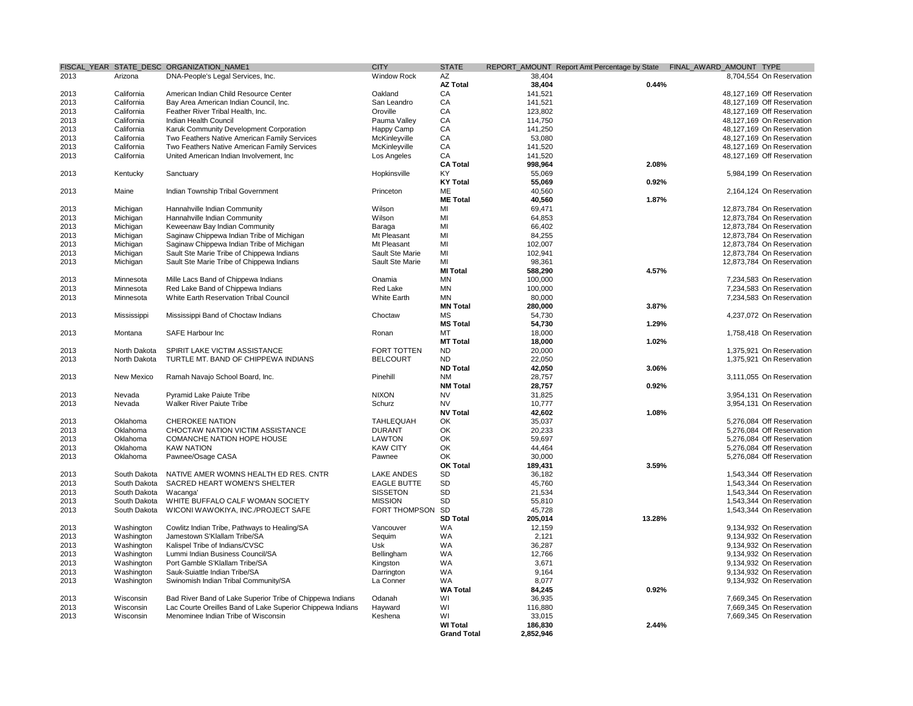|      |              | FISCAL_YEAR STATE_DESC ORGANIZATION_NAME1                  | <b>CITY</b>          | <b>STATE</b>       |           |        | REPORT_AMOUNT Report Amt Percentage by State FINAL_AWARD_AMOUNT TYPE |
|------|--------------|------------------------------------------------------------|----------------------|--------------------|-----------|--------|----------------------------------------------------------------------|
| 2013 | Arizona      | DNA-People's Legal Services, Inc.                          | <b>Window Rock</b>   | AZ                 | 38,404    |        | 8,704,554 On Reservation                                             |
|      |              |                                                            |                      | <b>AZ Total</b>    | 38,404    | 0.44%  |                                                                      |
| 2013 | California   | American Indian Child Resource Center                      | Oakland              | CA                 | 141,521   |        | 48,127,169 Off Reservation                                           |
| 2013 | California   | Bay Area American Indian Council, Inc.                     | San Leandro          | CA                 | 141.521   |        | 48.127.169 Off Reservation                                           |
| 2013 | California   | Feather River Tribal Health, Inc.                          | Oroville             | CA                 | 123,802   |        | 48,127,169 Off Reservation                                           |
|      |              |                                                            |                      |                    |           |        |                                                                      |
| 2013 | California   | Indian Health Council                                      | Pauma Valley         | CA                 | 114,750   |        | 48,127,169 On Reservation                                            |
| 2013 | California   | Karuk Community Development Corporation                    | Happy Camp           | CA                 | 141,250   |        | 48,127,169 On Reservation                                            |
| 2013 | California   | Two Feathers Native American Family Services               | McKinleyville        | CA                 | 53,080    |        | 48,127,169 On Reservation                                            |
| 2013 | California   | Two Feathers Native American Family Services               | McKinleyville        | CA                 | 141,520   |        | 48,127,169 On Reservation                                            |
| 2013 | California   | United American Indian Involvement, Inc                    | Los Angeles          | CA                 | 141,520   |        | 48,127,169 Off Reservation                                           |
|      |              |                                                            |                      | <b>CA Total</b>    | 998,964   | 2.08%  |                                                                      |
| 2013 | Kentucky     | Sanctuary                                                  | Hopkinsville         | KY                 | 55,069    |        | 5,984,199 On Reservation                                             |
|      |              |                                                            |                      | <b>KY Total</b>    | 55,069    | 0.92%  |                                                                      |
| 2013 | Maine        | Indian Township Tribal Government                          | Princeton            | ME                 | 40,560    |        | 2,164,124 On Reservation                                             |
|      |              |                                                            |                      | <b>ME Total</b>    | 40,560    | 1.87%  |                                                                      |
|      |              |                                                            |                      |                    |           |        |                                                                      |
| 2013 | Michigan     | Hannahville Indian Community                               | Wilson               | MI                 | 69,471    |        | 12,873,784 On Reservation                                            |
| 2013 | Michigan     | Hannahville Indian Community                               | Wilson               | MI                 | 64,853    |        | 12,873,784 On Reservation                                            |
| 2013 | Michigan     | Keweenaw Bay Indian Community                              | Baraga               | MI                 | 66,402    |        | 12,873,784 On Reservation                                            |
| 2013 | Michigan     | Saginaw Chippewa Indian Tribe of Michigan                  | Mt Pleasant          | MI                 | 84,255    |        | 12.873.784 On Reservation                                            |
| 2013 | Michigan     | Saginaw Chippewa Indian Tribe of Michigan                  | Mt Pleasant          | MI                 | 102,007   |        | 12,873,784 On Reservation                                            |
| 2013 | Michigan     | Sault Ste Marie Tribe of Chippewa Indians                  | Sault Ste Marie      | MI                 | 102,941   |        | 12,873,784 On Reservation                                            |
| 2013 | Michigan     | Sault Ste Marie Tribe of Chippewa Indians                  | Sault Ste Marie      | MI                 | 98,361    |        | 12,873,784 On Reservation                                            |
|      |              |                                                            |                      | <b>MI Total</b>    |           |        |                                                                      |
|      |              |                                                            |                      |                    | 588,290   | 4.57%  |                                                                      |
| 2013 | Minnesota    | Mille Lacs Band of Chippewa Indians                        | Onamia               | <b>MN</b>          | 100.000   |        | 7.234.583 On Reservation                                             |
| 2013 | Minnesota    | Red Lake Band of Chippewa Indians                          | Red Lake             | <b>MN</b>          | 100,000   |        | 7.234.583 On Reservation                                             |
| 2013 | Minnesota    | White Earth Reservation Tribal Council                     | <b>White Earth</b>   | <b>MN</b>          | 80.000    |        | 7.234.583 On Reservation                                             |
|      |              |                                                            |                      | <b>MN Total</b>    | 280.000   | 3.87%  |                                                                      |
| 2013 | Mississippi  | Mississippi Band of Choctaw Indians                        | Choctaw              | MS                 | 54,730    |        | 4,237,072 On Reservation                                             |
|      |              |                                                            |                      | <b>MS Total</b>    | 54,730    | 1.29%  |                                                                      |
| 2013 | Montana      | SAFE Harbour Inc                                           | Ronan                | MT                 | 18,000    |        | 1,758,418 On Reservation                                             |
|      |              |                                                            |                      | <b>MT Total</b>    | 18,000    | 1.02%  |                                                                      |
|      |              |                                                            |                      |                    |           |        |                                                                      |
| 2013 | North Dakota | SPIRIT LAKE VICTIM ASSISTANCE                              | FORT TOTTEN          | ND                 | 20,000    |        | 1,375,921 On Reservation                                             |
| 2013 | North Dakota | TURTLE MT. BAND OF CHIPPEWA INDIANS                        | <b>BELCOURT</b>      | <b>ND</b>          | 22,050    |        | 1,375,921 On Reservation                                             |
|      |              |                                                            |                      | <b>ND Total</b>    | 42,050    | 3.06%  |                                                                      |
| 2013 | New Mexico   | Ramah Navajo School Board, Inc.                            | Pinehill             | NM                 | 28,757    |        | 3,111,055 On Reservation                                             |
|      |              |                                                            |                      | <b>NM Total</b>    | 28,757    | 0.92%  |                                                                      |
| 2013 | Nevada       | <b>Pyramid Lake Paiute Tribe</b>                           | <b>NIXON</b>         | <b>NV</b>          | 31.825    |        | 3,954,131 On Reservation                                             |
| 2013 | Nevada       | <b>Walker River Paiute Tribe</b>                           | Schurz               | <b>NV</b>          | 10,777    |        | 3,954,131 On Reservation                                             |
|      |              |                                                            |                      | <b>NV Total</b>    | 42,602    | 1.08%  |                                                                      |
|      |              |                                                            |                      |                    |           |        |                                                                      |
| 2013 | Oklahoma     | <b>CHEROKEE NATION</b>                                     | <b>TAHLEQUAH</b>     | OK.                | 35,037    |        | 5,276,084 Off Reservation                                            |
| 2013 | Oklahoma     | CHOCTAW NATION VICTIM ASSISTANCE                           | <b>DURANT</b>        | OK                 | 20,233    |        | 5,276,084 Off Reservation                                            |
| 2013 | Oklahoma     | <b>COMANCHE NATION HOPE HOUSE</b>                          | <b>LAWTON</b>        | OK                 | 59.697    |        | 5.276.084 Off Reservation                                            |
| 2013 | Oklahoma     | <b>KAW NATION</b>                                          | <b>KAW CITY</b>      | OK                 | 44,464    |        | 5,276,084 Off Reservation                                            |
| 2013 | Oklahoma     | Pawnee/Osage CASA                                          | Pawnee               | OK                 | 30.000    |        | 5,276,084 Off Reservation                                            |
|      |              |                                                            |                      | <b>OK Total</b>    | 189,431   | 3.59%  |                                                                      |
| 2013 | South Dakota | NATIVE AMER WOMNS HEALTH ED RES. CNTR                      | <b>LAKE ANDES</b>    | <b>SD</b>          | 36,182    |        | 1,543,344 Off Reservation                                            |
| 2013 | South Dakota | SACRED HEART WOMEN'S SHELTER                               | <b>EAGLE BUTTE</b>   | <b>SD</b>          | 45,760    |        | 1.543.344 On Reservation                                             |
|      |              |                                                            |                      | SD                 |           |        | 1.543.344 On Reservation                                             |
| 2013 | South Dakota | Wacanga'                                                   | <b>SISSETON</b>      |                    | 21,534    |        |                                                                      |
| 2013 | South Dakota | WHITE BUFFALO CALF WOMAN SOCIETY                           | <b>MISSION</b>       | <b>SD</b>          | 55,810    |        | 1,543,344 On Reservation                                             |
| 2013 | South Dakota | WICONI WAWOKIYA, INC./PROJECT SAFE                         | <b>FORT THOMPSON</b> | <b>SD</b>          | 45.728    |        | 1.543.344 On Reservation                                             |
|      |              |                                                            |                      | <b>SD Total</b>    | 205,014   | 13.28% |                                                                      |
| 2013 | Washington   | Cowlitz Indian Tribe, Pathways to Healing/SA               | Vancouver            | <b>WA</b>          | 12,159    |        | 9,134,932 On Reservation                                             |
| 2013 | Washington   | Jamestown S'Klallam Tribe/SA                               | Sequim               | WA                 | 2,121     |        | 9,134,932 On Reservation                                             |
| 2013 | Washington   | Kalispel Tribe of Indians/CVSC                             | Usk                  | WA                 | 36,287    |        | 9,134,932 On Reservation                                             |
| 2013 | Washington   | Lummi Indian Business Council/SA                           | Bellingham           | WA                 | 12,766    |        | 9,134,932 On Reservation                                             |
| 2013 | Washington   | Port Gamble S'Klallam Tribe/SA                             | Kingston             | WA                 | 3,671     |        | 9,134,932 On Reservation                                             |
|      |              |                                                            |                      |                    |           |        |                                                                      |
| 2013 | Washington   | Sauk-Suiattle Indian Tribe/SA                              | Darrington           | WA                 | 9,164     |        | 9,134,932 On Reservation                                             |
| 2013 | Washington   | Swinomish Indian Tribal Community/SA                       | La Conner            | WA                 | 8,077     |        | 9,134,932 On Reservation                                             |
|      |              |                                                            |                      | <b>WA Total</b>    | 84,245    | 0.92%  |                                                                      |
| 2013 | Wisconsin    | Bad River Band of Lake Superior Tribe of Chippewa Indians  | Odanah               | WI                 | 36,935    |        | 7.669.345 On Reservation                                             |
| 2013 | Wisconsin    | Lac Courte Oreilles Band of Lake Superior Chippewa Indians | Hayward              | WI                 | 116,880   |        | 7,669,345 On Reservation                                             |
| 2013 | Wisconsin    | Menominee Indian Tribe of Wisconsin                        | Keshena              | WI                 | 33,015    |        | 7,669,345 On Reservation                                             |
|      |              |                                                            |                      | <b>WI Total</b>    | 186,830   | 2.44%  |                                                                      |
|      |              |                                                            |                      | <b>Grand Total</b> | 2,852,946 |        |                                                                      |
|      |              |                                                            |                      |                    |           |        |                                                                      |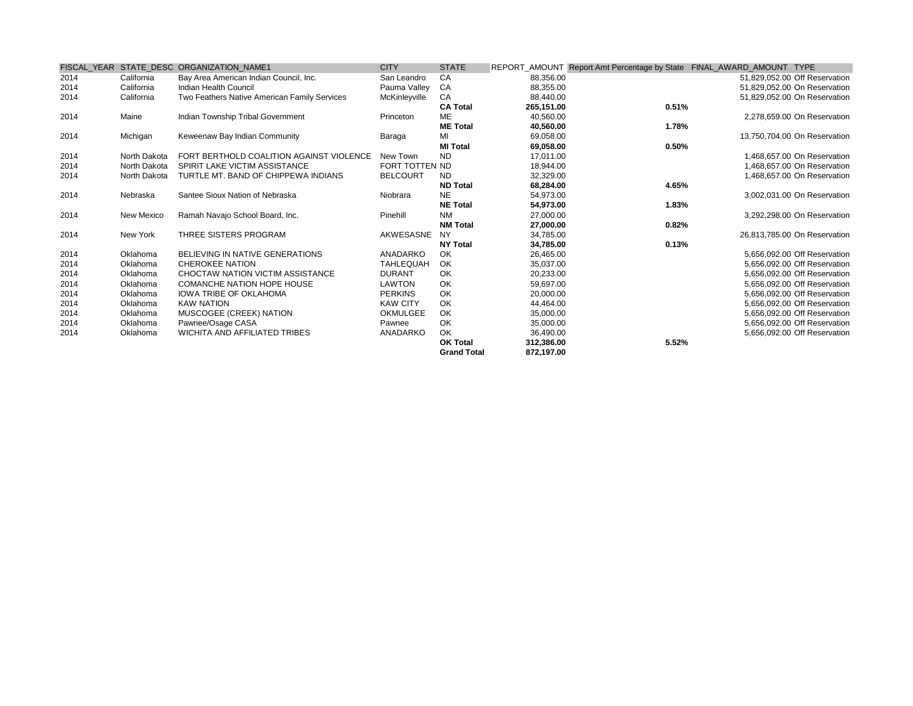|      |              | FISCAL YEAR STATE DESC ORGANIZATION NAME1    | <b>CITY</b>      | <b>STATE</b>       |            |       | REPORT_AMOUNT Report Amt Percentage by State FINAL_AWARD_AMOUNT TYPE |
|------|--------------|----------------------------------------------|------------------|--------------------|------------|-------|----------------------------------------------------------------------|
| 2014 | California   | Bay Area American Indian Council, Inc.       | San Leandro      | CA                 | 88,356.00  |       | 51,829,052.00 Off Reservation                                        |
| 2014 | California   | Indian Health Council                        | Pauma Valley     | CA                 | 88,355.00  |       | 51,829,052.00 On Reservation                                         |
| 2014 | California   | Two Feathers Native American Family Services | McKinleyville    | CA                 | 88.440.00  |       | 51,829,052.00 On Reservation                                         |
|      |              |                                              |                  | <b>CA Total</b>    | 265,151.00 | 0.51% |                                                                      |
| 2014 | Maine        | Indian Township Tribal Government            | Princeton        | <b>ME</b>          | 40,560.00  |       | 2.278.659.00 On Reservation                                          |
|      |              |                                              |                  | <b>ME Total</b>    | 40.560.00  | 1.78% |                                                                      |
| 2014 | Michigan     | Keweenaw Bay Indian Community                | Baraga           | MI                 | 69,058.00  |       | 13,750,704.00 On Reservation                                         |
|      |              |                                              |                  | <b>MI Total</b>    | 69,058.00  | 0.50% |                                                                      |
| 2014 | North Dakota | FORT BERTHOLD COALITION AGAINST VIOLENCE     | New Town         | <b>ND</b>          | 17.011.00  |       | 1.468.657.00 On Reservation                                          |
| 2014 | North Dakota | SPIRIT LAKE VICTIM ASSISTANCE                | FORT TOTTEN ND   |                    | 18,944.00  |       | 1,468,657.00 On Reservation                                          |
| 2014 | North Dakota | TURTLE MT. BAND OF CHIPPEWA INDIANS          | <b>BELCOURT</b>  | ND.                | 32,329.00  |       | 1,468,657.00 On Reservation                                          |
|      |              |                                              |                  | <b>ND Total</b>    | 68,284.00  | 4.65% |                                                                      |
| 2014 | Nebraska     | Santee Sioux Nation of Nebraska              | Niobrara         | <b>NE</b>          | 54.973.00  |       | 3.002.031.00 On Reservation                                          |
|      |              |                                              |                  | <b>NE Total</b>    | 54,973.00  | 1.83% |                                                                      |
| 2014 | New Mexico   | Ramah Navajo School Board, Inc.              | Pinehill         | <b>NM</b>          | 27,000.00  |       | 3,292,298.00 On Reservation                                          |
|      |              |                                              |                  | <b>NM Total</b>    | 27,000.00  | 0.82% |                                                                      |
| 2014 | New York     | THREE SISTERS PROGRAM                        | AKWESASNE        | <b>NY</b>          | 34,785.00  |       | 26,813,785.00 On Reservation                                         |
|      |              |                                              |                  | <b>NY Total</b>    | 34,785.00  | 0.13% |                                                                      |
| 2014 | Oklahoma     | BELIEVING IN NATIVE GENERATIONS              | ANADARKO         | OK                 | 26.465.00  |       | 5.656.092.00 Off Reservation                                         |
| 2014 | Oklahoma     | <b>CHEROKEE NATION</b>                       | <b>TAHLEQUAH</b> | OK                 | 35,037.00  |       | 5.656.092.00 Off Reservation                                         |
| 2014 | Oklahoma     | CHOCTAW NATION VICTIM ASSISTANCE             | <b>DURANT</b>    | OK                 | 20,233.00  |       | 5,656,092.00 Off Reservation                                         |
| 2014 | Oklahoma     | <b>COMANCHE NATION HOPE HOUSE</b>            | <b>LAWTON</b>    | OK                 | 59.697.00  |       | 5,656,092.00 Off Reservation                                         |
| 2014 | Oklahoma     | <b>IOWA TRIBE OF OKLAHOMA</b>                | <b>PERKINS</b>   | OK                 | 20.000.00  |       | 5.656.092.00 Off Reservation                                         |
| 2014 | Oklahoma     | <b>KAW NATION</b>                            | <b>KAW CITY</b>  | OK                 | 44.464.00  |       | 5.656.092.00 Off Reservation                                         |
| 2014 | Oklahoma     | MUSCOGEE (CREEK) NATION                      | <b>OKMULGEE</b>  | OK                 | 35,000.00  |       | 5,656,092.00 Off Reservation                                         |
| 2014 | Oklahoma     | Pawnee/Osage CASA                            | Pawnee           | OK                 | 35,000.00  |       | 5,656,092.00 Off Reservation                                         |
| 2014 | Oklahoma     | <b>WICHITA AND AFFILIATED TRIBES</b>         | ANADARKO         | OK.                | 36,490.00  |       | 5,656,092.00 Off Reservation                                         |
|      |              |                                              |                  | <b>OK Total</b>    | 312,386.00 | 5.52% |                                                                      |
|      |              |                                              |                  | <b>Grand Total</b> | 872,197.00 |       |                                                                      |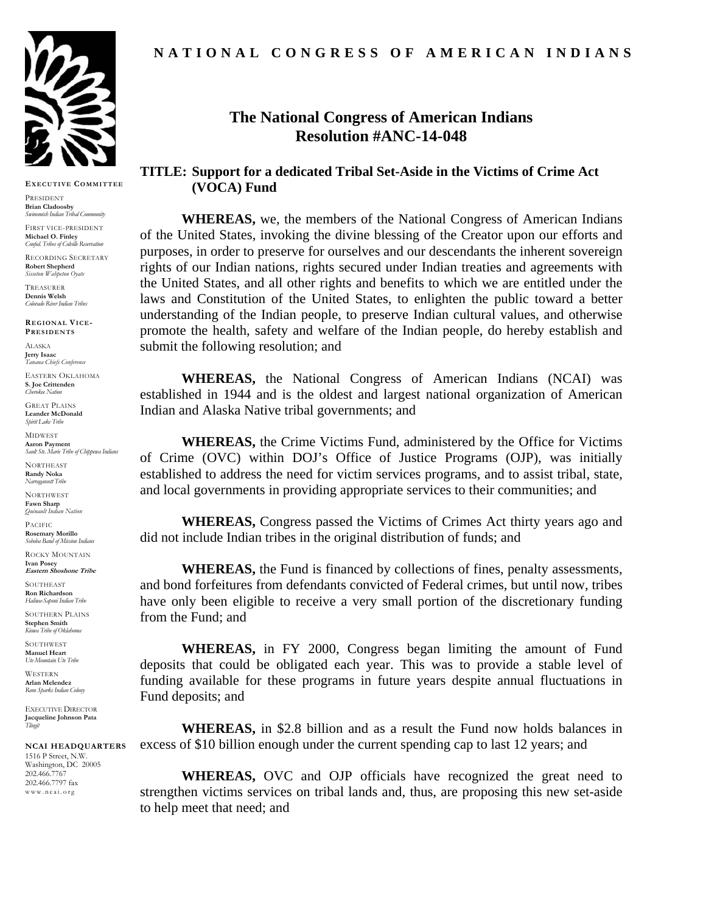

**EXECUTIVE COMMITTEE**

PRESIDENT **Brian Cladoosby**  *Swinomish Indian Tribal Community* 

FIRST VICE-PRESIDENT **Michael O. Finley**  *Confed. Tribes of Colville Reservation* 

RECORDING SECRETARY **Robert Shepherd**  *Sisseton Wahpeton Oyate*

TREASURER **Dennis Welsh**  *Colorado River Indian Tribes* 

**REGIONAL VICE-PRESIDENTS**

ALASKA **Jerry Isaac**  *Tanana Chiefs Conference* 

EASTERN OKLAHOMA **S. Joe Crittenden**  *Cherokee Nation* 

GREAT PLAINS **Leander McDonald** *Spirit Lake Tribe* 

MIDWEST **Aaron Payment**  *Sault Ste. Marie Tribe of Chippewa Indians* 

**NORTHEAST Randy Noka**  *Narragansett Tribe* 

**NORTHWEST Fawn Sharp**  *Quinault Indian Nation* 

**PACIFIC Rosemary Morillo**  *Soboba Band of Mission Indians* 

ROCKY MOUNTAIN **Ivan Posey Eastern Shoshone Tribe** 

**SOUTHEAST Ron Richardson**  *Haliwa-Saponi Indian Tribe* 

SOUTHERN PLAINS **Stephen Smith**  *Kiowa Tribe of Oklahoma* 

SOUTHWEST **Manuel Heart**  *Ute Mountain Ute Tribe* 

**WESTERN Arlan Melendez**  *Reno Sparks Indian Colony* 

EXECUTIVE DIRECTOR **Jacqueline Johnson Pata**  *Tlingit* 

**NCAI HEADQUARTERS** 1516 P Street, N.W. Washington, DC 20005 202.466.7767 202.466.7797 fax www.ncai.org

#### **N A T I O N A L C O N G R E S S O F A M E R I C A N I N D I A N S**

# **The National Congress of American Indians Resolution #ANC-14-048**

**TITLE: Support for a dedicated Tribal Set-Aside in the Victims of Crime Act (VOCA) Fund** 

**WHEREAS,** we, the members of the National Congress of American Indians of the United States, invoking the divine blessing of the Creator upon our efforts and purposes, in order to preserve for ourselves and our descendants the inherent sovereign rights of our Indian nations, rights secured under Indian treaties and agreements with the United States, and all other rights and benefits to which we are entitled under the laws and Constitution of the United States, to enlighten the public toward a better understanding of the Indian people, to preserve Indian cultural values, and otherwise promote the health, safety and welfare of the Indian people, do hereby establish and submit the following resolution; and

**WHEREAS,** the National Congress of American Indians (NCAI) was established in 1944 and is the oldest and largest national organization of American Indian and Alaska Native tribal governments; and

**WHEREAS,** the Crime Victims Fund, administered by the Office for Victims of Crime (OVC) within DOJ's Office of Justice Programs (OJP), was initially established to address the need for victim services programs, and to assist tribal, state, and local governments in providing appropriate services to their communities; and

**WHEREAS,** Congress passed the Victims of Crimes Act thirty years ago and did not include Indian tribes in the original distribution of funds; and

**WHEREAS,** the Fund is financed by collections of fines, penalty assessments, and bond forfeitures from defendants convicted of Federal crimes, but until now, tribes have only been eligible to receive a very small portion of the discretionary funding from the Fund; and

**WHEREAS,** in FY 2000, Congress began limiting the amount of Fund deposits that could be obligated each year. This was to provide a stable level of funding available for these programs in future years despite annual fluctuations in Fund deposits; and

**WHEREAS,** in \$2.8 billion and as a result the Fund now holds balances in excess of \$10 billion enough under the current spending cap to last 12 years; and

**WHEREAS,** OVC and OJP officials have recognized the great need to strengthen victims services on tribal lands and, thus, are proposing this new set-aside to help meet that need; and